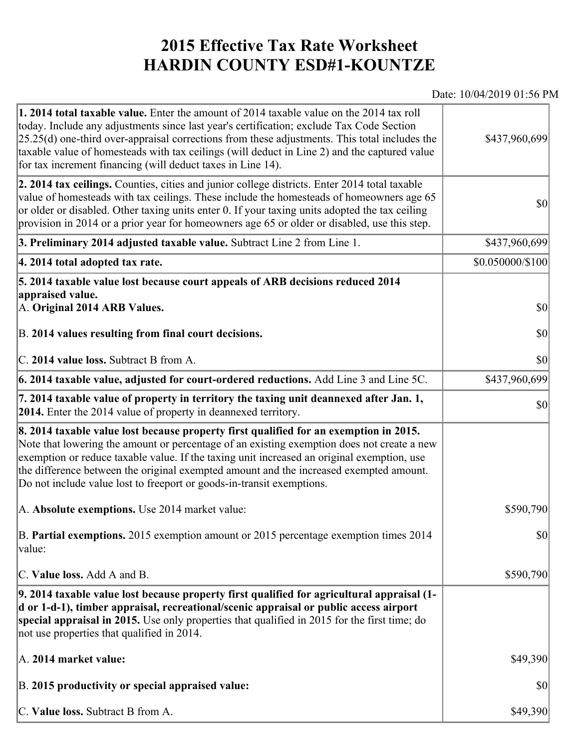## **2015 Effective Tax Rate Worksheet HARDIN COUNTY ESD#1-KOUNTZE**

## Date: 10/04/2019 01:56 PM

| <b>1. 2014 total taxable value.</b> Enter the amount of 2014 taxable value on the 2014 tax roll<br>today. Include any adjustments since last year's certification; exclude Tax Code Section<br>$[25.25(d)$ one-third over-appraisal corrections from these adjustments. This total includes the<br>taxable value of homesteads with tax ceilings (will deduct in Line 2) and the captured value<br>for tax increment financing (will deduct taxes in Line 14). | \$437,960,699    |
|----------------------------------------------------------------------------------------------------------------------------------------------------------------------------------------------------------------------------------------------------------------------------------------------------------------------------------------------------------------------------------------------------------------------------------------------------------------|------------------|
| 2. 2014 tax ceilings. Counties, cities and junior college districts. Enter 2014 total taxable<br>value of homesteads with tax ceilings. These include the homesteads of homeowners age 65<br>or older or disabled. Other taxing units enter 0. If your taxing units adopted the tax ceiling<br>provision in 2014 or a prior year for homeowners age 65 or older or disabled, use this step.                                                                    | 30               |
| 3. Preliminary 2014 adjusted taxable value. Subtract Line 2 from Line 1.                                                                                                                                                                                                                                                                                                                                                                                       | \$437,960,699    |
| 4. 2014 total adopted tax rate.                                                                                                                                                                                                                                                                                                                                                                                                                                | \$0.050000/\$100 |
| 5. 2014 taxable value lost because court appeals of ARB decisions reduced 2014<br>appraised value.                                                                                                                                                                                                                                                                                                                                                             |                  |
| A. Original 2014 ARB Values.                                                                                                                                                                                                                                                                                                                                                                                                                                   | 30               |
| B. 2014 values resulting from final court decisions.                                                                                                                                                                                                                                                                                                                                                                                                           | \$0              |
| C. 2014 value loss. Subtract B from A.                                                                                                                                                                                                                                                                                                                                                                                                                         | $ 10\rangle$     |
| 6. 2014 taxable value, adjusted for court-ordered reductions. Add Line 3 and Line 5C.                                                                                                                                                                                                                                                                                                                                                                          | \$437,960,699    |
| 7. 2014 taxable value of property in territory the taxing unit deannexed after Jan. 1,<br><b>2014.</b> Enter the 2014 value of property in deannexed territory.                                                                                                                                                                                                                                                                                                | $ 10\rangle$     |
| 8. 2014 taxable value lost because property first qualified for an exemption in 2015.<br>Note that lowering the amount or percentage of an existing exemption does not create a new<br>exemption or reduce taxable value. If the taxing unit increased an original exemption, use<br>the difference between the original exempted amount and the increased exempted amount.<br>Do not include value lost to freeport or goods-in-transit exemptions.           |                  |
| A. Absolute exemptions. Use 2014 market value:                                                                                                                                                                                                                                                                                                                                                                                                                 | \$590,790        |
| B. Partial exemptions. 2015 exemption amount or 2015 percentage exemption times 2014<br>$\vert$ value:                                                                                                                                                                                                                                                                                                                                                         | $ 10\rangle$     |
| C. Value loss. Add A and B.                                                                                                                                                                                                                                                                                                                                                                                                                                    | \$590,790        |
| 9. 2014 taxable value lost because property first qualified for agricultural appraisal (1-<br>d or 1-d-1), timber appraisal, recreational/scenic appraisal or public access airport<br>special appraisal in 2015. Use only properties that qualified in 2015 for the first time; do<br>not use properties that qualified in 2014.                                                                                                                              |                  |
| A. 2014 market value:                                                                                                                                                                                                                                                                                                                                                                                                                                          | \$49,390         |
| B. 2015 productivity or special appraised value:                                                                                                                                                                                                                                                                                                                                                                                                               | \$0              |
| C. Value loss. Subtract B from A.                                                                                                                                                                                                                                                                                                                                                                                                                              | \$49,390         |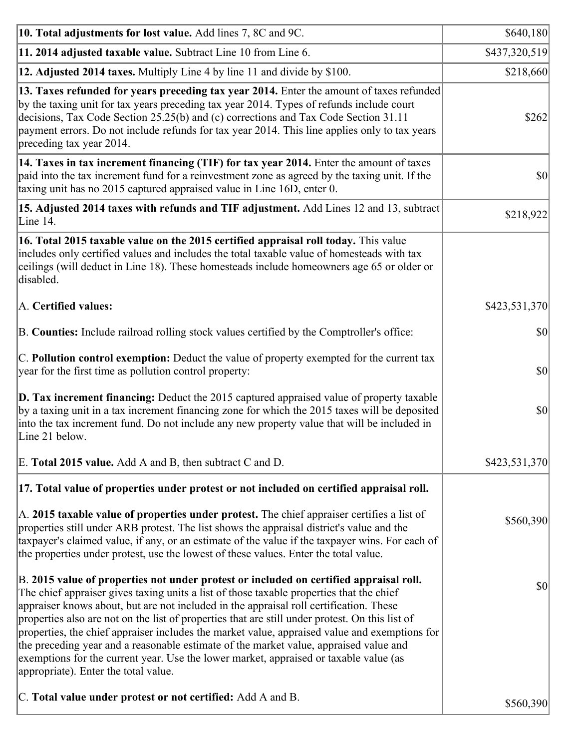| 10. Total adjustments for lost value. Add lines 7, 8C and 9C.                                                                                                                                                                                                                                                                                                                                                                                                                                                                                                                                                                                                                                              | \$640,180     |
|------------------------------------------------------------------------------------------------------------------------------------------------------------------------------------------------------------------------------------------------------------------------------------------------------------------------------------------------------------------------------------------------------------------------------------------------------------------------------------------------------------------------------------------------------------------------------------------------------------------------------------------------------------------------------------------------------------|---------------|
| 11. 2014 adjusted taxable value. Subtract Line 10 from Line 6.                                                                                                                                                                                                                                                                                                                                                                                                                                                                                                                                                                                                                                             | \$437,320,519 |
| 12. Adjusted 2014 taxes. Multiply Line 4 by line 11 and divide by \$100.                                                                                                                                                                                                                                                                                                                                                                                                                                                                                                                                                                                                                                   | \$218,660     |
| 13. Taxes refunded for years preceding tax year 2014. Enter the amount of taxes refunded<br>by the taxing unit for tax years preceding tax year 2014. Types of refunds include court<br>decisions, Tax Code Section 25.25(b) and (c) corrections and Tax Code Section 31.11<br>payment errors. Do not include refunds for tax year 2014. This line applies only to tax years<br>preceding tax year 2014.                                                                                                                                                                                                                                                                                                   | \$262         |
| 14. Taxes in tax increment financing (TIF) for tax year 2014. Enter the amount of taxes<br>paid into the tax increment fund for a reinvestment zone as agreed by the taxing unit. If the<br>taxing unit has no 2015 captured appraised value in Line 16D, enter 0.                                                                                                                                                                                                                                                                                                                                                                                                                                         | $ 10\rangle$  |
| 15. Adjusted 2014 taxes with refunds and TIF adjustment. Add Lines 12 and 13, subtract<br>Line 14.                                                                                                                                                                                                                                                                                                                                                                                                                                                                                                                                                                                                         | \$218,922     |
| 16. Total 2015 taxable value on the 2015 certified appraisal roll today. This value<br>includes only certified values and includes the total taxable value of homesteads with tax<br>ceilings (will deduct in Line 18). These homesteads include homeowners age 65 or older or<br>disabled.                                                                                                                                                                                                                                                                                                                                                                                                                |               |
| A. Certified values:                                                                                                                                                                                                                                                                                                                                                                                                                                                                                                                                                                                                                                                                                       | \$423,531,370 |
| B. Counties: Include railroad rolling stock values certified by the Comptroller's office:                                                                                                                                                                                                                                                                                                                                                                                                                                                                                                                                                                                                                  | $ 10\rangle$  |
| C. Pollution control exemption: Deduct the value of property exempted for the current tax<br>year for the first time as pollution control property:                                                                                                                                                                                                                                                                                                                                                                                                                                                                                                                                                        | $ 10\rangle$  |
| $\vert$ D. Tax increment financing: Deduct the 2015 captured appraised value of property taxable<br>by a taxing unit in a tax increment financing zone for which the 2015 taxes will be deposited<br>into the tax increment fund. Do not include any new property value that will be included in<br>Line 21 below.                                                                                                                                                                                                                                                                                                                                                                                         | $ 10\rangle$  |
| E. Total 2015 value. Add A and B, then subtract C and D.                                                                                                                                                                                                                                                                                                                                                                                                                                                                                                                                                                                                                                                   | \$423,531,370 |
| 17. Total value of properties under protest or not included on certified appraisal roll.                                                                                                                                                                                                                                                                                                                                                                                                                                                                                                                                                                                                                   |               |
| A. 2015 taxable value of properties under protest. The chief appraiser certifies a list of<br>properties still under ARB protest. The list shows the appraisal district's value and the<br>taxpayer's claimed value, if any, or an estimate of the value if the taxpayer wins. For each of<br>the properties under protest, use the lowest of these values. Enter the total value.                                                                                                                                                                                                                                                                                                                         | \$560,390     |
| B. 2015 value of properties not under protest or included on certified appraisal roll.<br>The chief appraiser gives taxing units a list of those taxable properties that the chief<br>appraiser knows about, but are not included in the appraisal roll certification. These<br>properties also are not on the list of properties that are still under protest. On this list of<br>properties, the chief appraiser includes the market value, appraised value and exemptions for<br>the preceding year and a reasonable estimate of the market value, appraised value and<br>exemptions for the current year. Use the lower market, appraised or taxable value (as<br>appropriate). Enter the total value. | $ 10\rangle$  |
| C. Total value under protest or not certified: Add A and B.                                                                                                                                                                                                                                                                                                                                                                                                                                                                                                                                                                                                                                                | \$560,390     |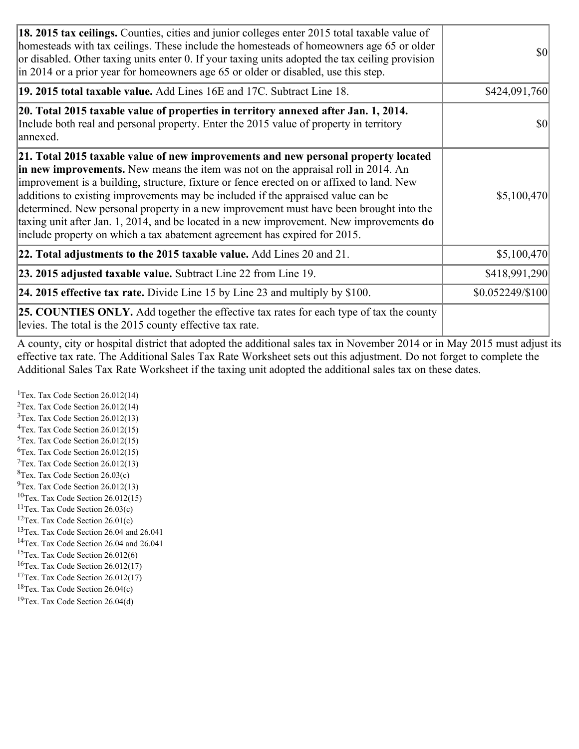| 18. 2015 tax ceilings. Counties, cities and junior colleges enter 2015 total taxable value of<br>homesteads with tax ceilings. These include the homesteads of homeowners age 65 or older<br>or disabled. Other taxing units enter 0. If your taxing units adopted the tax ceiling provision<br>$\ln 2014$ or a prior year for homeowners age 65 or older or disabled, use this step.                                                                                                                                                                                                                                         | <b>\$0</b>       |
|-------------------------------------------------------------------------------------------------------------------------------------------------------------------------------------------------------------------------------------------------------------------------------------------------------------------------------------------------------------------------------------------------------------------------------------------------------------------------------------------------------------------------------------------------------------------------------------------------------------------------------|------------------|
| 19. 2015 total taxable value. Add Lines 16E and 17C. Subtract Line 18.                                                                                                                                                                                                                                                                                                                                                                                                                                                                                                                                                        | \$424,091,760    |
| 20. Total 2015 taxable value of properties in territory annexed after Jan. 1, 2014.<br>Include both real and personal property. Enter the 2015 value of property in territory<br>annexed.                                                                                                                                                                                                                                                                                                                                                                                                                                     | <b>\$0</b>       |
| 21. Total 2015 taxable value of new improvements and new personal property located<br>in new improvements. New means the item was not on the appraisal roll in 2014. An<br>improvement is a building, structure, fixture or fence erected on or affixed to land. New<br>additions to existing improvements may be included if the appraised value can be<br>determined. New personal property in a new improvement must have been brought into the<br>taxing unit after Jan. 1, 2014, and be located in a new improvement. New improvements $do$<br>include property on which a tax abatement agreement has expired for 2015. | \$5,100,470      |
| 22. Total adjustments to the 2015 taxable value. Add Lines 20 and 21.                                                                                                                                                                                                                                                                                                                                                                                                                                                                                                                                                         | \$5,100,470      |
| <b>23. 2015 adjusted taxable value.</b> Subtract Line 22 from Line 19.                                                                                                                                                                                                                                                                                                                                                                                                                                                                                                                                                        | \$418,991,290    |
| 24. 2015 effective tax rate. Divide Line 15 by Line 23 and multiply by $$100$ .                                                                                                                                                                                                                                                                                                                                                                                                                                                                                                                                               | \$0.052249/\$100 |
| <b>25. COUNTIES ONLY.</b> Add together the effective tax rates for each type of tax the county<br>levies. The total is the 2015 county effective tax rate.                                                                                                                                                                                                                                                                                                                                                                                                                                                                    |                  |

A county, city or hospital district that adopted the additional sales tax in November 2014 or in May 2015 must adjust its effective tax rate. The Additional Sales Tax Rate Worksheet sets out this adjustment. Do not forget to complete the Additional Sales Tax Rate Worksheet if the taxing unit adopted the additional sales tax on these dates.

<sup>1</sup>Tex. Tax Code Section  $26.012(14)$ <sup>2</sup>Tex. Tax Code Section  $26.012(14)$  $3$ Tex. Tax Code Section 26.012(13)  ${}^{4}$ Tex. Tax Code Section 26.012(15) <sup>5</sup>Tex. Tax Code Section 26.012(15)  ${}^{6}$ Tex. Tax Code Section 26.012(15)  $7$ Tex. Tax Code Section 26.012(13)  ${}^{8}$ Tex. Tax Code Section 26.03(c)  $^{9}$ Tex. Tax Code Section 26.012(13)  $10$ Tex. Tax Code Section 26.012(15) <sup>11</sup>Tex. Tax Code Section  $26.03(c)$  ${}^{12}$ Tex. Tax Code Section 26.01(c) <sup>13</sup>Tex. Tax Code Section 26.04 and 26.041 <sup>14</sup>Tex. Tax Code Section 26.04 and 26.041 <sup>15</sup>Tex. Tax Code Section  $26.012(6)$  $16$ Tex. Tax Code Section 26.012(17) <sup>17</sup>Tex. Tax Code Section 26.012(17) <sup>18</sup>Tex. Tax Code Section  $26.04(c)$  $19$ Tex. Tax Code Section 26.04(d)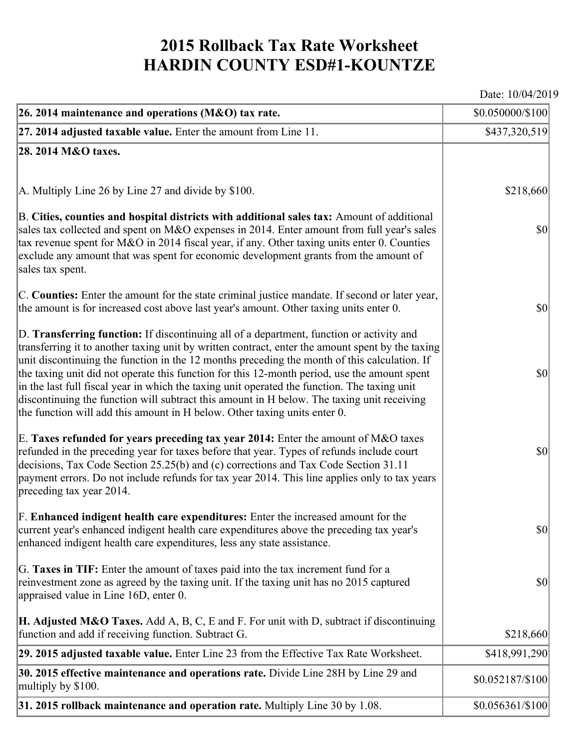## **2015 Rollback Tax Rate Worksheet HARDIN COUNTY ESD#1-KOUNTZE**

Date: 10/04/2019

| 26. 2014 maintenance and operations (M&O) tax rate.                                                                                                                                                                                                                                                                                                                                                                                                                                                                                                                                                                                                                     | \$0.050000/\$100                    |
|-------------------------------------------------------------------------------------------------------------------------------------------------------------------------------------------------------------------------------------------------------------------------------------------------------------------------------------------------------------------------------------------------------------------------------------------------------------------------------------------------------------------------------------------------------------------------------------------------------------------------------------------------------------------------|-------------------------------------|
| $ 27.2014$ adjusted taxable value. Enter the amount from Line 11.                                                                                                                                                                                                                                                                                                                                                                                                                                                                                                                                                                                                       | \$437,320,519                       |
| 28. 2014 M&O taxes.                                                                                                                                                                                                                                                                                                                                                                                                                                                                                                                                                                                                                                                     |                                     |
|                                                                                                                                                                                                                                                                                                                                                                                                                                                                                                                                                                                                                                                                         |                                     |
| A. Multiply Line 26 by Line 27 and divide by \$100.                                                                                                                                                                                                                                                                                                                                                                                                                                                                                                                                                                                                                     | \$218,660                           |
| B. Cities, counties and hospital districts with additional sales tax: Amount of additional<br>sales tax collected and spent on M&O expenses in 2014. Enter amount from full year's sales<br>tax revenue spent for M&O in 2014 fiscal year, if any. Other taxing units enter 0. Counties<br>exclude any amount that was spent for economic development grants from the amount of<br>sales tax spent.                                                                                                                                                                                                                                                                     | $ 10\rangle$                        |
| C. Counties: Enter the amount for the state criminal justice mandate. If second or later year,<br>the amount is for increased cost above last year's amount. Other taxing units enter 0.                                                                                                                                                                                                                                                                                                                                                                                                                                                                                | $ 10\rangle$                        |
| D. Transferring function: If discontinuing all of a department, function or activity and<br>transferring it to another taxing unit by written contract, enter the amount spent by the taxing<br>unit discontinuing the function in the 12 months preceding the month of this calculation. If<br>the taxing unit did not operate this function for this 12-month period, use the amount spent<br>in the last full fiscal year in which the taxing unit operated the function. The taxing unit<br>discontinuing the function will subtract this amount in H below. The taxing unit receiving<br>the function will add this amount in H below. Other taxing units enter 0. | $ 10\rangle$                        |
| E. Taxes refunded for years preceding tax year 2014: Enter the amount of M&O taxes<br>refunded in the preceding year for taxes before that year. Types of refunds include court<br>decisions, Tax Code Section 25.25(b) and (c) corrections and Tax Code Section 31.11<br>payment errors. Do not include refunds for tax year 2014. This line applies only to tax years<br>preceding tax year 2014.                                                                                                                                                                                                                                                                     | $ 10\rangle$                        |
| F. Enhanced indigent health care expenditures: Enter the increased amount for the<br>current year's enhanced indigent health care expenditures above the preceding tax year's<br>enhanced indigent health care expenditures, less any state assistance.                                                                                                                                                                                                                                                                                                                                                                                                                 | $\vert \mathbf{S} \mathbf{0} \vert$ |
| G. Taxes in TIF: Enter the amount of taxes paid into the tax increment fund for a<br>reinvestment zone as agreed by the taxing unit. If the taxing unit has no 2015 captured<br>appraised value in Line 16D, enter 0.                                                                                                                                                                                                                                                                                                                                                                                                                                                   | $ 10\rangle$                        |
| <b>H. Adjusted M&amp;O Taxes.</b> Add A, B, C, E and F. For unit with D, subtract if discontinuing<br>function and add if receiving function. Subtract G.                                                                                                                                                                                                                                                                                                                                                                                                                                                                                                               | \$218,660                           |
| 29. 2015 adjusted taxable value. Enter Line 23 from the Effective Tax Rate Worksheet.                                                                                                                                                                                                                                                                                                                                                                                                                                                                                                                                                                                   | \$418,991,290                       |
| 30. 2015 effective maintenance and operations rate. Divide Line 28H by Line 29 and<br>multiply by \$100.                                                                                                                                                                                                                                                                                                                                                                                                                                                                                                                                                                | \$0.052187/\$100                    |
| 31. 2015 rollback maintenance and operation rate. Multiply Line 30 by 1.08.                                                                                                                                                                                                                                                                                                                                                                                                                                                                                                                                                                                             | $$0.056361/\$100$                   |